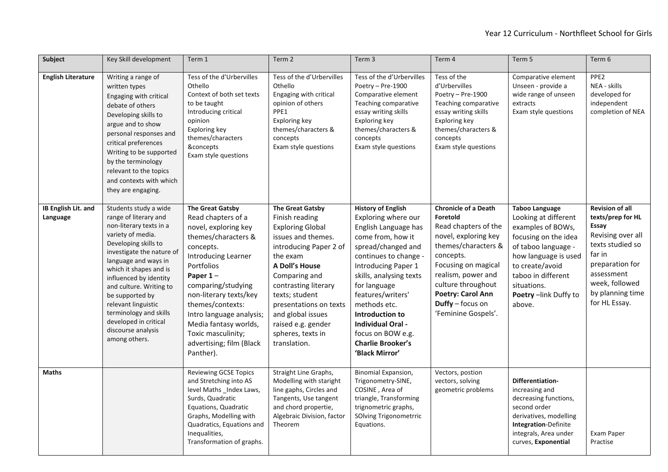| Subject                         | Key Skill development                                                                                                                                                                                                                                                                                                                                                                          | Term 1                                                                                                                                                                                                                                                                                                                                                      | Term 2                                                                                                                                                                                                                                                                                                                  | Term 3                                                                                                                                                                                                                                                                                                                                                         | Term 4                                                                                                                                                                                                                                                         | Term 5                                                                                                                                                                                                                              | Term 6                                                                                                                                                                                          |
|---------------------------------|------------------------------------------------------------------------------------------------------------------------------------------------------------------------------------------------------------------------------------------------------------------------------------------------------------------------------------------------------------------------------------------------|-------------------------------------------------------------------------------------------------------------------------------------------------------------------------------------------------------------------------------------------------------------------------------------------------------------------------------------------------------------|-------------------------------------------------------------------------------------------------------------------------------------------------------------------------------------------------------------------------------------------------------------------------------------------------------------------------|----------------------------------------------------------------------------------------------------------------------------------------------------------------------------------------------------------------------------------------------------------------------------------------------------------------------------------------------------------------|----------------------------------------------------------------------------------------------------------------------------------------------------------------------------------------------------------------------------------------------------------------|-------------------------------------------------------------------------------------------------------------------------------------------------------------------------------------------------------------------------------------|-------------------------------------------------------------------------------------------------------------------------------------------------------------------------------------------------|
| <b>English Literature</b>       | Writing a range of<br>written types<br>Engaging with critical<br>debate of others<br>Developing skills to<br>argue and to show<br>personal responses and<br>critical preferences<br>Writing to be supported<br>by the terminology<br>relevant to the topics<br>and contexts with which<br>they are engaging.                                                                                   | Tess of the d'Urbervilles<br>Othello<br>Context of both set texts<br>to be taught<br>Introducing critical<br>opinion<br>Exploring key<br>themes/characters<br>&concepts<br>Exam style questions                                                                                                                                                             | Tess of the d'Urbervilles<br>Othello<br>Engaging with critical<br>opinion of others<br>PPE1<br>Exploring key<br>themes/characters &<br>concepts<br>Exam style questions                                                                                                                                                 | Tess of the d'Urbervilles<br>Poetry - Pre-1900<br>Comparative element<br>Teaching comparative<br>essay writing skills<br>Exploring key<br>themes/characters &<br>concepts<br>Exam style questions                                                                                                                                                              | Tess of the<br>d'Urbervilles<br>Poetry - Pre-1900<br>Teaching comparative<br>essay writing skills<br>Exploring key<br>themes/characters &<br>concepts<br>Exam style questions                                                                                  | Comparative element<br>Unseen - provide a<br>wide range of unseen<br>extracts<br>Exam style questions                                                                                                                               | PPE <sub>2</sub><br>NEA - skills<br>developed for<br>independent<br>completion of NEA                                                                                                           |
| IB English Lit. and<br>Language | Students study a wide<br>range of literary and<br>non-literary texts in a<br>variety of media.<br>Developing skills to<br>investigate the nature of<br>language and ways in<br>which it shapes and is<br>influenced by identity<br>and culture. Writing to<br>be supported by<br>relevant linguistic<br>terminology and skills<br>developed in critical<br>discourse analysis<br>among others. | <b>The Great Gatsby</b><br>Read chapters of a<br>novel, exploring key<br>themes/characters &<br>concepts.<br><b>Introducing Learner</b><br>Portfolios<br>Paper $1-$<br>comparing/studying<br>non-literary texts/key<br>themes/contexts:<br>Intro language analysis;<br>Media fantasy worlds,<br>Toxic masculinity;<br>advertising; film (Black<br>Panther). | <b>The Great Gatsby</b><br>Finish reading<br><b>Exploring Global</b><br>issues and themes.<br>introducing Paper 2 of<br>the exam<br>A Doll's House<br>Comparing and<br>contrasting literary<br>texts; student<br>presentations on texts<br>and global issues<br>raised e.g. gender<br>spheres, texts in<br>translation. | <b>History of English</b><br>Exploring where our<br>English Language has<br>come from, how it<br>spread/changed and<br>continues to change -<br>Introducing Paper 1<br>skills, analysing texts<br>for language<br>features/writers'<br>methods etc.<br>Introduction to<br>Individual Oral -<br>focus on BOW e.g.<br><b>Charlie Brooker's</b><br>'Black Mirror' | <b>Chronicle of a Death</b><br>Foretold<br>Read chapters of the<br>novel, exploring key<br>themes/characters &<br>concepts.<br>Focusing on magical<br>realism, power and<br>culture throughout<br>Poetry: Carol Ann<br>Duffy - focus on<br>'Feminine Gospels'. | <b>Taboo Language</b><br>Looking at different<br>examples of BOWs,<br>focusing on the idea<br>of taboo language -<br>how language is used<br>to create/avoid<br>taboo in different<br>situations.<br>Poetry-link Duffy to<br>above. | <b>Revision of all</b><br>texts/prep for HL<br>Essay<br>Revising over all<br>texts studied so<br>far in<br>preparation for<br>assessment<br>week, followed<br>by planning time<br>for HL Essay. |
| <b>Maths</b>                    |                                                                                                                                                                                                                                                                                                                                                                                                | <b>Reviewing GCSE Topics</b><br>and Stretching into AS<br>level Maths _Index Laws,<br>Surds, Quadratic<br>Equations, Quadratic<br>Graphs, Modelling with<br>Quadratics, Equations and<br>Inequalities,<br>Transformation of graphs.                                                                                                                         | Straight Line Graphs,<br>Modelling with staright<br>line gaphs, Circles and<br>Tangents, Use tangent<br>and chord propertie,<br>Algebraic Division, factor<br>Theorem                                                                                                                                                   | Binomial Expansion,<br>Trigonometry-SINE,<br>COSINE, Area of<br>triangle, Transforming<br>trignometric graphs,<br>SOlving Trigonometrric<br>Equations.                                                                                                                                                                                                         | Vectors, postion<br>vectors, solving<br>geometric problems                                                                                                                                                                                                     | Differentiation-<br>increasing and<br>decreasing functions,<br>second order<br>derivatives, modelling<br>Integration-Definite<br>integrals, Area under<br>curves, Exponential                                                       | Exam Paper<br>Practise                                                                                                                                                                          |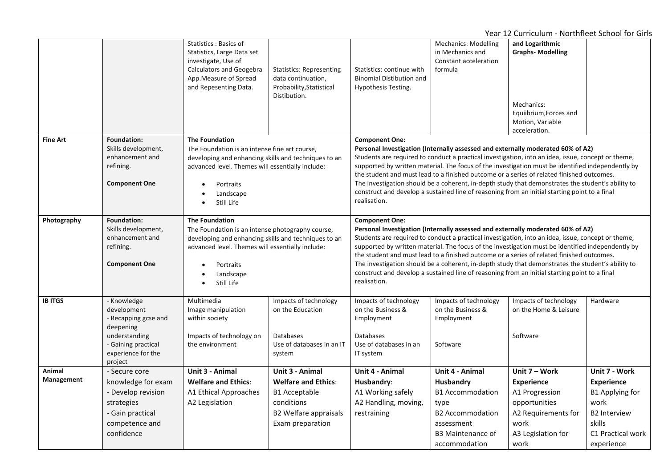|                 |                            | Statistics: Basics of<br>Statistics, Large Data set<br>investigate, Use of<br>Calculators and Geogebra<br>App. Measure of Spread<br>and Repesenting Data. | <b>Statistics: Representing</b><br>data continuation,<br>Probability, Statistical<br>Distibution. | Statistics: continue with<br><b>Binomial Distibution and</b><br>Hypothesis Testing.                                                                                                                                                                                                                  | <b>Mechanics: Modelling</b><br>in Mechanics and<br>Constant acceleration<br>formula | and Logarithmic<br><b>Graphs-Modelling</b><br>Mechanics:<br>Equiibrium, Forces and<br>Motion, Variable<br>acceleration.                                                                            |                        |  |
|-----------------|----------------------------|-----------------------------------------------------------------------------------------------------------------------------------------------------------|---------------------------------------------------------------------------------------------------|------------------------------------------------------------------------------------------------------------------------------------------------------------------------------------------------------------------------------------------------------------------------------------------------------|-------------------------------------------------------------------------------------|----------------------------------------------------------------------------------------------------------------------------------------------------------------------------------------------------|------------------------|--|
| <b>Fine Art</b> | <b>Foundation:</b>         | <b>The Foundation</b>                                                                                                                                     |                                                                                                   | <b>Component One:</b>                                                                                                                                                                                                                                                                                |                                                                                     |                                                                                                                                                                                                    |                        |  |
|                 | Skills development,        | The Foundation is an intense fine art course,                                                                                                             |                                                                                                   |                                                                                                                                                                                                                                                                                                      |                                                                                     | Personal Investigation (Internally assessed and externally moderated 60% of A2)                                                                                                                    |                        |  |
|                 | enhancement and            | developing and enhancing skills and techniques to an                                                                                                      |                                                                                                   |                                                                                                                                                                                                                                                                                                      |                                                                                     | Students are required to conduct a practical investigation, into an idea, issue, concept or theme,                                                                                                 |                        |  |
|                 | refining.                  | advanced level. Themes will essentially include:                                                                                                          |                                                                                                   |                                                                                                                                                                                                                                                                                                      |                                                                                     | supported by written material. The focus of the investigation must be identified independently by                                                                                                  |                        |  |
|                 |                            |                                                                                                                                                           |                                                                                                   |                                                                                                                                                                                                                                                                                                      |                                                                                     | the student and must lead to a finished outcome or a series of related finished outcomes.                                                                                                          |                        |  |
|                 | <b>Component One</b>       | Portraits                                                                                                                                                 |                                                                                                   |                                                                                                                                                                                                                                                                                                      |                                                                                     | The investigation should be a coherent, in-depth study that demonstrates the student's ability to                                                                                                  |                        |  |
|                 |                            | Landscape                                                                                                                                                 |                                                                                                   |                                                                                                                                                                                                                                                                                                      |                                                                                     | construct and develop a sustained line of reasoning from an initial starting point to a final                                                                                                      |                        |  |
|                 |                            | Still Life                                                                                                                                                |                                                                                                   | realisation.                                                                                                                                                                                                                                                                                         |                                                                                     |                                                                                                                                                                                                    |                        |  |
| Photography     | <b>Foundation:</b>         | <b>The Foundation</b>                                                                                                                                     |                                                                                                   | <b>Component One:</b>                                                                                                                                                                                                                                                                                |                                                                                     |                                                                                                                                                                                                    |                        |  |
|                 | Skills development,        | The Foundation is an intense photography course,                                                                                                          |                                                                                                   | Personal Investigation (Internally assessed and externally moderated 60% of A2)                                                                                                                                                                                                                      |                                                                                     |                                                                                                                                                                                                    |                        |  |
|                 | enhancement and            | developing and enhancing skills and techniques to an                                                                                                      |                                                                                                   | Students are required to conduct a practical investigation, into an idea, issue, concept or theme,<br>supported by written material. The focus of the investigation must be identified independently by<br>the student and must lead to a finished outcome or a series of related finished outcomes. |                                                                                     |                                                                                                                                                                                                    |                        |  |
|                 | refining.                  | advanced level. Themes will essentially include:                                                                                                          |                                                                                                   |                                                                                                                                                                                                                                                                                                      |                                                                                     |                                                                                                                                                                                                    |                        |  |
|                 |                            |                                                                                                                                                           |                                                                                                   |                                                                                                                                                                                                                                                                                                      |                                                                                     |                                                                                                                                                                                                    |                        |  |
|                 | <b>Component One</b>       | Portraits<br>Landscape                                                                                                                                    |                                                                                                   |                                                                                                                                                                                                                                                                                                      |                                                                                     | The investigation should be a coherent, in-depth study that demonstrates the student's ability to<br>construct and develop a sustained line of reasoning from an initial starting point to a final |                        |  |
|                 |                            | Still Life                                                                                                                                                |                                                                                                   | realisation.                                                                                                                                                                                                                                                                                         |                                                                                     |                                                                                                                                                                                                    |                        |  |
|                 |                            |                                                                                                                                                           |                                                                                                   |                                                                                                                                                                                                                                                                                                      |                                                                                     |                                                                                                                                                                                                    |                        |  |
| <b>IB ITGS</b>  | - Knowledge                | Multimedia                                                                                                                                                | Impacts of technology                                                                             | Impacts of technology                                                                                                                                                                                                                                                                                | Impacts of technology                                                               | Impacts of technology                                                                                                                                                                              | Hardware               |  |
|                 | development                | Image manipulation                                                                                                                                        | on the Education                                                                                  | on the Business &                                                                                                                                                                                                                                                                                    | on the Business &                                                                   | on the Home & Leisure                                                                                                                                                                              |                        |  |
|                 | - Recapping gcse and       | within society                                                                                                                                            |                                                                                                   | Employment                                                                                                                                                                                                                                                                                           | Employment                                                                          |                                                                                                                                                                                                    |                        |  |
|                 | deepening<br>understanding | Impacts of technology on                                                                                                                                  | <b>Databases</b>                                                                                  | Databases                                                                                                                                                                                                                                                                                            |                                                                                     | Software                                                                                                                                                                                           |                        |  |
|                 | - Gaining practical        | the environment                                                                                                                                           | Use of databases in an IT                                                                         | Use of databases in an                                                                                                                                                                                                                                                                               | Software                                                                            |                                                                                                                                                                                                    |                        |  |
|                 | experience for the         |                                                                                                                                                           | system                                                                                            | IT system                                                                                                                                                                                                                                                                                            |                                                                                     |                                                                                                                                                                                                    |                        |  |
|                 | project                    |                                                                                                                                                           |                                                                                                   |                                                                                                                                                                                                                                                                                                      |                                                                                     |                                                                                                                                                                                                    |                        |  |
| Animal          | - Secure core              | Unit 3 - Animal                                                                                                                                           | Unit 3 - Animal                                                                                   | Unit 4 - Animal                                                                                                                                                                                                                                                                                      | Unit 4 - Animal                                                                     | Unit 7 - Work                                                                                                                                                                                      | Unit 7 - Work          |  |
| Management      | knowledge for exam         | <b>Welfare and Ethics:</b>                                                                                                                                | <b>Welfare and Ethics:</b>                                                                        | Husbandry:                                                                                                                                                                                                                                                                                           | Husbandry                                                                           | <b>Experience</b>                                                                                                                                                                                  | <b>Experience</b>      |  |
|                 | - Develop revision         | A1 Ethical Approaches                                                                                                                                     | <b>B1</b> Acceptable                                                                              | A1 Working safely                                                                                                                                                                                                                                                                                    | <b>B1 Accommodation</b>                                                             | A1 Progression                                                                                                                                                                                     | <b>B1 Applying for</b> |  |
|                 | strategies                 | A2 Legislation                                                                                                                                            | conditions                                                                                        | A2 Handling, moving,                                                                                                                                                                                                                                                                                 | type                                                                                | opportunities                                                                                                                                                                                      | work                   |  |
|                 | - Gain practical           |                                                                                                                                                           | <b>B2 Welfare appraisals</b>                                                                      | restraining                                                                                                                                                                                                                                                                                          | <b>B2 Accommodation</b>                                                             | A2 Requirements for                                                                                                                                                                                | <b>B2</b> Interview    |  |
|                 | competence and             |                                                                                                                                                           | Exam preparation                                                                                  |                                                                                                                                                                                                                                                                                                      | assessment                                                                          | work                                                                                                                                                                                               | skills                 |  |
|                 | confidence                 |                                                                                                                                                           |                                                                                                   |                                                                                                                                                                                                                                                                                                      | B3 Maintenance of                                                                   | A3 Legislation for                                                                                                                                                                                 | C1 Practical work      |  |
|                 |                            |                                                                                                                                                           |                                                                                                   |                                                                                                                                                                                                                                                                                                      | accommodation                                                                       | work                                                                                                                                                                                               | experience             |  |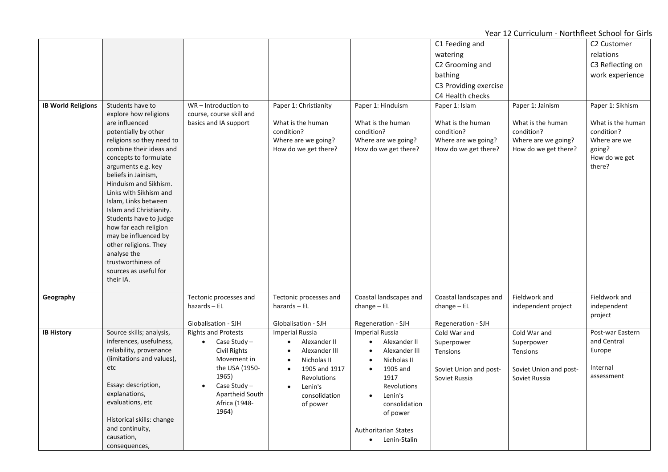|                           |                                                                                                                                         |                                           |                            |                                      | C1 Feeding and         |                        | C2 Customer             |
|---------------------------|-----------------------------------------------------------------------------------------------------------------------------------------|-------------------------------------------|----------------------------|--------------------------------------|------------------------|------------------------|-------------------------|
|                           |                                                                                                                                         |                                           |                            |                                      | watering               |                        | relations               |
|                           |                                                                                                                                         |                                           |                            |                                      |                        |                        |                         |
|                           |                                                                                                                                         |                                           |                            |                                      | C2 Grooming and        |                        | C3 Reflecting on        |
|                           |                                                                                                                                         |                                           |                            |                                      | bathing                |                        | work experience         |
|                           |                                                                                                                                         |                                           |                            |                                      | C3 Providing exercise  |                        |                         |
|                           |                                                                                                                                         |                                           |                            |                                      | C4 Health checks       |                        |                         |
| <b>IB World Religions</b> | Students have to                                                                                                                        | WR-Introduction to                        | Paper 1: Christianity      | Paper 1: Hinduism                    | Paper 1: Islam         | Paper 1: Jainism       | Paper 1: Sikhism        |
|                           | explore how religions                                                                                                                   | course, course skill and                  |                            |                                      |                        |                        |                         |
|                           | are influenced                                                                                                                          | basics and IA support                     | What is the human          | What is the human                    | What is the human      | What is the human      | What is the human       |
|                           | potentially by other                                                                                                                    |                                           | condition?                 | condition?                           | condition?             | condition?             | condition?              |
|                           | religions so they need to                                                                                                               |                                           | Where are we going?        | Where are we going?                  | Where are we going?    | Where are we going?    | Where are we            |
|                           | combine their ideas and                                                                                                                 |                                           | How do we get there?       | How do we get there?                 | How do we get there?   | How do we get there?   | going?                  |
|                           | concepts to formulate<br>arguments e.g. key                                                                                             |                                           |                            |                                      |                        |                        | How do we get<br>there? |
|                           | beliefs in Jainism,                                                                                                                     |                                           |                            |                                      |                        |                        |                         |
|                           | Hinduism and Sikhism.                                                                                                                   |                                           |                            |                                      |                        |                        |                         |
|                           | Links with Sikhism and                                                                                                                  |                                           |                            |                                      |                        |                        |                         |
|                           | Islam, Links between                                                                                                                    |                                           |                            |                                      |                        |                        |                         |
|                           | Islam and Christianity.                                                                                                                 |                                           |                            |                                      |                        |                        |                         |
|                           | Students have to judge                                                                                                                  |                                           |                            |                                      |                        |                        |                         |
|                           | how far each religion                                                                                                                   |                                           |                            |                                      |                        |                        |                         |
|                           | may be influenced by                                                                                                                    |                                           |                            |                                      |                        |                        |                         |
|                           | other religions. They                                                                                                                   |                                           |                            |                                      |                        |                        |                         |
|                           | analyse the                                                                                                                             |                                           |                            |                                      |                        |                        |                         |
|                           | trustworthiness of                                                                                                                      |                                           |                            |                                      |                        |                        |                         |
|                           | sources as useful for                                                                                                                   |                                           |                            |                                      |                        |                        |                         |
|                           | their IA.                                                                                                                               |                                           |                            |                                      |                        |                        |                         |
| Geography                 |                                                                                                                                         | Tectonic processes and                    | Tectonic processes and     | Coastal landscapes and               | Coastal landscapes and | Fieldwork and          | Fieldwork and           |
|                           |                                                                                                                                         | $hazards - EL$                            | $hazards - EL$             | $change$ – EL                        | $change$ – EL          | independent project    | independent             |
|                           |                                                                                                                                         |                                           |                            |                                      |                        |                        | project                 |
|                           |                                                                                                                                         | Globalisation - SJH                       | Globalisation - SJH        | Regeneration - SJH                   | Regeneration - SJH     |                        |                         |
| <b>IB History</b>         | Source skills; analysis,                                                                                                                | <b>Rights and Protests</b>                | <b>Imperial Russia</b>     | <b>Imperial Russia</b>               | Cold War and           | Cold War and           | Post-war Eastern        |
|                           | inferences, usefulness,                                                                                                                 | Case Study $-$<br>$\bullet$               | Alexander II<br>$\bullet$  | Alexander II<br>$\bullet$            |                        |                        | and Central             |
|                           | reliability, provenance                                                                                                                 | Civil Rights                              | Alexander III<br>$\bullet$ | Alexander III<br>$\bullet$           | Tensions               |                        | Europe                  |
|                           | (limitations and values),                                                                                                               | Movement in                               | Nicholas II<br>$\bullet$   | Nicholas II<br>$\bullet$             |                        |                        |                         |
|                           | etc                                                                                                                                     | the USA (1950-                            | 1905 and 1917<br>$\bullet$ | 1905 and<br>$\bullet$                | Soviet Union and post- | Soviet Union and post- | Internal                |
|                           |                                                                                                                                         | 1965)                                     | Revolutions                | 1917                                 | Soviet Russia          | Soviet Russia          | assessment              |
|                           |                                                                                                                                         | Case Study $-$<br>$\bullet$               | Lenin's<br>$\bullet$       | <b>Revolutions</b>                   |                        |                        |                         |
|                           |                                                                                                                                         |                                           | consolidation              | Lenin's<br>$\bullet$                 |                        |                        |                         |
|                           |                                                                                                                                         |                                           | of power                   | consolidation                        |                        |                        |                         |
|                           |                                                                                                                                         |                                           |                            | of power                             |                        |                        |                         |
|                           |                                                                                                                                         |                                           |                            |                                      |                        |                        |                         |
|                           |                                                                                                                                         |                                           |                            |                                      |                        |                        |                         |
|                           |                                                                                                                                         |                                           |                            | $\bullet$                            |                        |                        |                         |
|                           | Essay: description,<br>explanations,<br>evaluations, etc<br>Historical skills: change<br>and continuity,<br>causation,<br>consequences, | Apartheid South<br>Africa (1948-<br>1964) |                            | Authoritarian States<br>Lenin-Stalin | Superpower             | Superpower<br>Tensions |                         |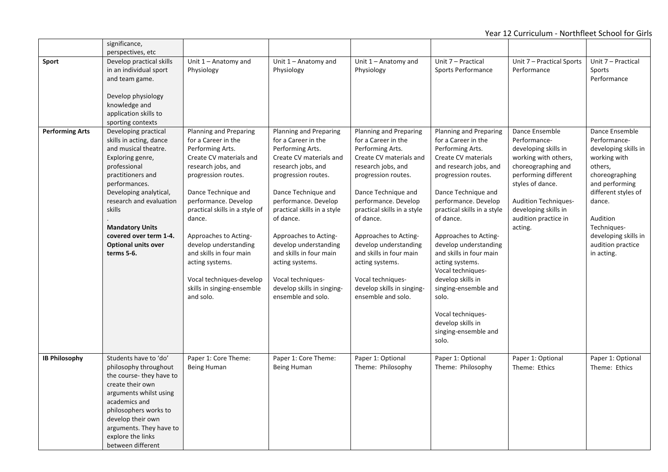|                        | significance,                                 |                                                        |                                                     |                                                     |                                                     |                                                     |                      |
|------------------------|-----------------------------------------------|--------------------------------------------------------|-----------------------------------------------------|-----------------------------------------------------|-----------------------------------------------------|-----------------------------------------------------|----------------------|
| Sport                  | perspectives, etc<br>Develop practical skills | Unit 1 - Anatomy and                                   | Unit $1 -$ Anatomy and                              | Unit $1 -$ Anatomy and                              | Unit 7 - Practical                                  | Unit 7 - Practical Sports                           | Unit 7 - Practical   |
|                        | in an individual sport                        | Physiology                                             | Physiology                                          | Physiology                                          | Sports Performance                                  | Performance                                         | Sports               |
|                        | and team game.                                |                                                        |                                                     |                                                     |                                                     |                                                     | Performance          |
|                        |                                               |                                                        |                                                     |                                                     |                                                     |                                                     |                      |
|                        | Develop physiology                            |                                                        |                                                     |                                                     |                                                     |                                                     |                      |
|                        | knowledge and                                 |                                                        |                                                     |                                                     |                                                     |                                                     |                      |
|                        | application skills to                         |                                                        |                                                     |                                                     |                                                     |                                                     |                      |
| <b>Performing Arts</b> | sporting contexts<br>Developing practical     | <b>Planning and Preparing</b>                          | <b>Planning and Preparing</b>                       | <b>Planning and Preparing</b>                       | Planning and Preparing                              | Dance Ensemble                                      | Dance Ensemble       |
|                        | skills in acting, dance                       | for a Career in the                                    | for a Career in the                                 | for a Career in the                                 | for a Career in the                                 | Performance-                                        | Performance-         |
|                        | and musical theatre.                          | Performing Arts.                                       | Performing Arts.                                    | Performing Arts.                                    | Performing Arts.                                    | developing skills in                                | developing skills in |
|                        | Exploring genre,                              | Create CV materials and                                | Create CV materials and                             | Create CV materials and                             | Create CV materials                                 | working with others,                                | working with         |
|                        | professional                                  | research jobs, and                                     | research jobs, and                                  | research jobs, and                                  | and research jobs, and                              | choreographing and                                  | others,              |
|                        | practitioners and                             | progression routes.                                    | progression routes.                                 | progression routes.                                 | progression routes.                                 | performing different                                | choreographing       |
|                        | performances.                                 |                                                        |                                                     |                                                     |                                                     | styles of dance.                                    | and performing       |
|                        | Developing analytical,                        | Dance Technique and                                    | Dance Technique and                                 | Dance Technique and                                 | Dance Technique and                                 |                                                     | different styles of  |
|                        | research and evaluation<br>skills             | performance. Develop<br>practical skills in a style of | performance. Develop<br>practical skills in a style | performance. Develop<br>practical skills in a style | performance. Develop<br>practical skills in a style | <b>Audition Techniques-</b><br>developing skills in | dance.               |
|                        |                                               | dance.                                                 | of dance.                                           | of dance.                                           | of dance.                                           | audition practice in                                | Audition             |
|                        | <b>Mandatory Units</b>                        |                                                        |                                                     |                                                     |                                                     | acting.                                             | Techniques-          |
|                        | covered over term 1-4.                        | Approaches to Acting-                                  | Approaches to Acting-                               | Approaches to Acting-                               | Approaches to Acting-                               |                                                     | developing skills in |
|                        | <b>Optional units over</b>                    | develop understanding                                  | develop understanding                               | develop understanding                               | develop understanding                               |                                                     | audition practice    |
|                        | terms 5-6.                                    | and skills in four main                                | and skills in four main                             | and skills in four main                             | and skills in four main                             |                                                     | in acting.           |
|                        |                                               | acting systems.                                        | acting systems.                                     | acting systems.                                     | acting systems.                                     |                                                     |                      |
|                        |                                               |                                                        |                                                     |                                                     | Vocal techniques-                                   |                                                     |                      |
|                        |                                               | Vocal techniques-develop<br>skills in singing-ensemble | Vocal techniques-<br>develop skills in singing-     | Vocal techniques-<br>develop skills in singing-     | develop skills in<br>singing-ensemble and           |                                                     |                      |
|                        |                                               | and solo.                                              | ensemble and solo.                                  | ensemble and solo.                                  | solo.                                               |                                                     |                      |
|                        |                                               |                                                        |                                                     |                                                     |                                                     |                                                     |                      |
|                        |                                               |                                                        |                                                     |                                                     | Vocal techniques-                                   |                                                     |                      |
|                        |                                               |                                                        |                                                     |                                                     | develop skills in                                   |                                                     |                      |
|                        |                                               |                                                        |                                                     |                                                     | singing-ensemble and                                |                                                     |                      |
|                        |                                               |                                                        |                                                     |                                                     | solo.                                               |                                                     |                      |
| <b>IB Philosophy</b>   | Students have to 'do'                         | Paper 1: Core Theme:                                   | Paper 1: Core Theme:                                | Paper 1: Optional                                   | Paper 1: Optional                                   | Paper 1: Optional                                   | Paper 1: Optional    |
|                        | philosophy throughout                         | <b>Being Human</b>                                     | Being Human                                         | Theme: Philosophy                                   | Theme: Philosophy                                   | Theme: Ethics                                       | Theme: Ethics        |
|                        | the course-they have to                       |                                                        |                                                     |                                                     |                                                     |                                                     |                      |
|                        | create their own                              |                                                        |                                                     |                                                     |                                                     |                                                     |                      |
|                        | arguments whilst using                        |                                                        |                                                     |                                                     |                                                     |                                                     |                      |
|                        | academics and                                 |                                                        |                                                     |                                                     |                                                     |                                                     |                      |
|                        | philosophers works to                         |                                                        |                                                     |                                                     |                                                     |                                                     |                      |
|                        | develop their own<br>arguments. They have to  |                                                        |                                                     |                                                     |                                                     |                                                     |                      |
|                        | explore the links                             |                                                        |                                                     |                                                     |                                                     |                                                     |                      |
|                        | between different                             |                                                        |                                                     |                                                     |                                                     |                                                     |                      |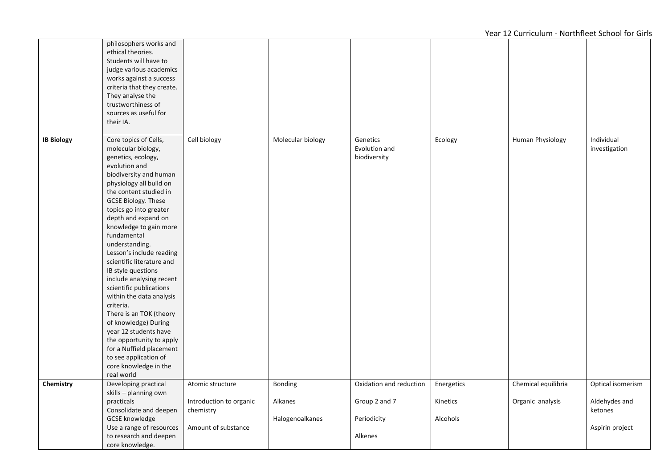|                   | philosophers works and<br>ethical theories.<br>Students will have to<br>judge various academics<br>works against a success<br>criteria that they create.<br>They analyse the<br>trustworthiness of<br>sources as useful for<br>their IA.                                                                                                                                                                                                                                                                                                                                                                                                                                                       |                                      |                            |                                           |                      |                     |                             |
|-------------------|------------------------------------------------------------------------------------------------------------------------------------------------------------------------------------------------------------------------------------------------------------------------------------------------------------------------------------------------------------------------------------------------------------------------------------------------------------------------------------------------------------------------------------------------------------------------------------------------------------------------------------------------------------------------------------------------|--------------------------------------|----------------------------|-------------------------------------------|----------------------|---------------------|-----------------------------|
| <b>IB Biology</b> | Core topics of Cells,<br>molecular biology,<br>genetics, ecology,<br>evolution and<br>biodiversity and human<br>physiology all build on<br>the content studied in<br><b>GCSE Biology. These</b><br>topics go into greater<br>depth and expand on<br>knowledge to gain more<br>fundamental<br>understanding.<br>Lesson's include reading<br>scientific literature and<br>IB style questions<br>include analysing recent<br>scientific publications<br>within the data analysis<br>criteria.<br>There is an TOK (theory<br>of knowledge) During<br>year 12 students have<br>the opportunity to apply<br>for a Nuffield placement<br>to see application of<br>core knowledge in the<br>real world | Cell biology                         | Molecular biology          | Genetics<br>Evolution and<br>biodiversity | Ecology              | Human Physiology    | Individual<br>investigation |
| Chemistry         | Developing practical                                                                                                                                                                                                                                                                                                                                                                                                                                                                                                                                                                                                                                                                           | Atomic structure                     | Bonding                    | Oxidation and reduction                   | Energetics           | Chemical equilibria | Optical isomerism           |
|                   | skills - planning own<br>practicals<br>Consolidate and deepen<br><b>GCSE</b> knowledge                                                                                                                                                                                                                                                                                                                                                                                                                                                                                                                                                                                                         | Introduction to organic<br>chemistry | Alkanes<br>Halogenoalkanes | Group 2 and 7<br>Periodicity              | Kinetics<br>Alcohols | Organic analysis    | Aldehydes and<br>ketones    |
|                   | Use a range of resources<br>to research and deepen<br>core knowledge.                                                                                                                                                                                                                                                                                                                                                                                                                                                                                                                                                                                                                          | Amount of substance                  |                            | Alkenes                                   |                      |                     | Aspirin project             |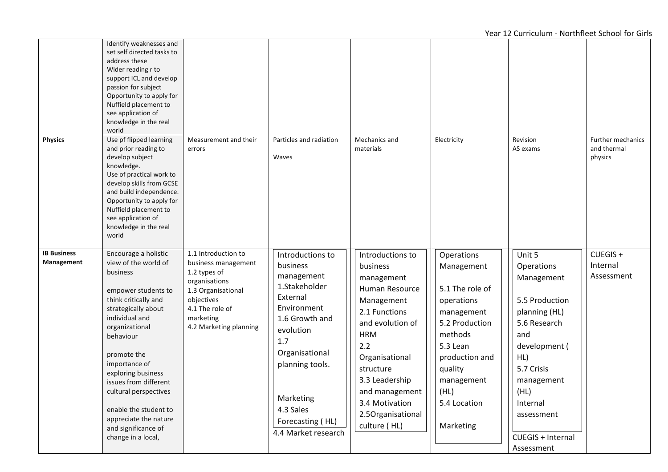|                                  | Identify weaknesses and<br>set self directed tasks to<br>address these<br>Wider reading r to<br>support ICL and develop<br>passion for subject<br>Opportunity to apply for<br>Nuffield placement to<br>see application of<br>knowledge in the real<br>world                                                                                                                            |                                                                                                                                                                           |                                                                                                                                                                                                                                        |                                                                                                                                                                                                                                                                |                                                                                                                                                                                                  |                                                                                                                                                                                                                       |                                             |
|----------------------------------|----------------------------------------------------------------------------------------------------------------------------------------------------------------------------------------------------------------------------------------------------------------------------------------------------------------------------------------------------------------------------------------|---------------------------------------------------------------------------------------------------------------------------------------------------------------------------|----------------------------------------------------------------------------------------------------------------------------------------------------------------------------------------------------------------------------------------|----------------------------------------------------------------------------------------------------------------------------------------------------------------------------------------------------------------------------------------------------------------|--------------------------------------------------------------------------------------------------------------------------------------------------------------------------------------------------|-----------------------------------------------------------------------------------------------------------------------------------------------------------------------------------------------------------------------|---------------------------------------------|
| <b>Physics</b>                   | Use pf flipped learning<br>and prior reading to<br>develop subject<br>knowledge.<br>Use of practical work to<br>develop skills from GCSE<br>and build independence.<br>Opportunity to apply for<br>Nuffield placement to<br>see application of<br>knowledge in the real<br>world                                                                                                       | Measurement and their<br>errors                                                                                                                                           | Particles and radiation<br>Waves                                                                                                                                                                                                       | Mechanics and<br>materials                                                                                                                                                                                                                                     | Electricity                                                                                                                                                                                      | Revision<br>AS exams                                                                                                                                                                                                  | Further mechanics<br>and thermal<br>physics |
| <b>IB Business</b><br>Management | Encourage a holistic<br>view of the world of<br>business<br>empower students to<br>think critically and<br>strategically about<br>individual and<br>organizational<br>behaviour<br>promote the<br>importance of<br>exploring business<br>issues from different<br>cultural perspectives<br>enable the student to<br>appreciate the nature<br>and significance of<br>change in a local, | 1.1 Introduction to<br>business management<br>1.2 types of<br>organisations<br>1.3 Organisational<br>objectives<br>4.1 The role of<br>marketing<br>4.2 Marketing planning | Introductions to<br>business<br>management<br>1.Stakeholder<br>External<br>Environment<br>1.6 Growth and<br>evolution<br>1.7<br>Organisational<br>planning tools.<br>Marketing<br>4.3 Sales<br>Forecasting (HL)<br>4.4 Market research | Introductions to<br>business<br>management<br>Human Resource<br>Management<br>2.1 Functions<br>and evolution of<br><b>HRM</b><br>2.2<br>Organisational<br>structure<br>3.3 Leadership<br>and management<br>3.4 Motivation<br>2.5Organisational<br>culture (HL) | Operations<br>Management<br>5.1 The role of<br>operations<br>management<br>5.2 Production<br>methods<br>5.3 Lean<br>production and<br>quality<br>management<br>(HL)<br>5.4 Location<br>Marketing | Unit 5<br>Operations<br>Management<br>5.5 Production<br>planning (HL)<br>5.6 Research<br>and<br>development (<br>HL)<br>5.7 Crisis<br>management<br>(HL)<br>Internal<br>assessment<br>CUEGIS + Internal<br>Assessment | CUEGIS +<br>Internal<br>Assessment          |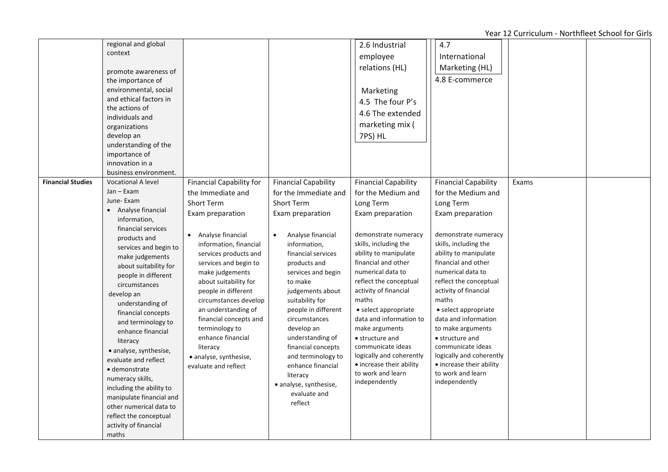|                          | regional and global<br>context<br>promote awareness of<br>the importance of<br>environmental, social<br>and ethical factors in<br>the actions of<br>individuals and<br>organizations<br>develop an<br>understanding of the<br>importance of<br>innovation in a<br>business environment.                                                                                                                                                                                                                                                                                                           |                                                                                                                                                                                                                                                                                                                                                                                                                                           |                                                                                                                                                                                                                                                                                                                                                                                                                                                                           | 2.6 Industrial<br>employee<br>relations (HL)<br>Marketing<br>4.5 The four P's<br>4.6 The extended<br>marketing mix (<br>7PS) HL                                                                                                                                                                                                                                                                                                                                                 | 4.7<br>International<br>Marketing (HL)<br>4.8 E-commerce                                                                                                                                                                                                                                                                                                                                                                                                                        |       |  |
|--------------------------|---------------------------------------------------------------------------------------------------------------------------------------------------------------------------------------------------------------------------------------------------------------------------------------------------------------------------------------------------------------------------------------------------------------------------------------------------------------------------------------------------------------------------------------------------------------------------------------------------|-------------------------------------------------------------------------------------------------------------------------------------------------------------------------------------------------------------------------------------------------------------------------------------------------------------------------------------------------------------------------------------------------------------------------------------------|---------------------------------------------------------------------------------------------------------------------------------------------------------------------------------------------------------------------------------------------------------------------------------------------------------------------------------------------------------------------------------------------------------------------------------------------------------------------------|---------------------------------------------------------------------------------------------------------------------------------------------------------------------------------------------------------------------------------------------------------------------------------------------------------------------------------------------------------------------------------------------------------------------------------------------------------------------------------|---------------------------------------------------------------------------------------------------------------------------------------------------------------------------------------------------------------------------------------------------------------------------------------------------------------------------------------------------------------------------------------------------------------------------------------------------------------------------------|-------|--|
| <b>Financial Studies</b> | <b>Vocational A level</b><br>Jan - Exam<br>June-Exam<br>Analyse financial<br>information,<br>financial services<br>products and<br>services and begin to<br>make judgements<br>about suitability for<br>people in different<br>circumstances<br>develop an<br>understanding of<br>financial concepts<br>and terminology to<br>enhance financial<br>literacy<br>• analyse, synthesise,<br>evaluate and reflect<br>· demonstrate<br>numeracy skills,<br>including the ability to<br>manipulate financial and<br>other numerical data to<br>reflect the conceptual<br>activity of financial<br>maths | <b>Financial Capability for</b><br>the Immediate and<br>Short Term<br>Exam preparation<br>Analyse financial<br>information, financial<br>services products and<br>services and begin to<br>make judgements<br>about suitability for<br>people in different<br>circumstances develop<br>an understanding of<br>financial concepts and<br>terminology to<br>enhance financial<br>literacy<br>• analyse, synthesise,<br>evaluate and reflect | <b>Financial Capability</b><br>for the Immediate and<br><b>Short Term</b><br>Exam preparation<br>Analyse financial<br>$\bullet$<br>information,<br>financial services<br>products and<br>services and begin<br>to make<br>judgements about<br>suitability for<br>people in different<br>circumstances<br>develop an<br>understanding of<br>financial concepts<br>and terminology to<br>enhance financial<br>literacy<br>• analyse, synthesise,<br>evaluate and<br>reflect | <b>Financial Capability</b><br>for the Medium and<br>Long Term<br>Exam preparation<br>demonstrate numeracy<br>skills, including the<br>ability to manipulate<br>financial and other<br>numerical data to<br>reflect the conceptual<br>activity of financial<br>maths<br>• select appropriate<br>data and information to<br>make arguments<br>• structure and<br>communicate ideas<br>logically and coherently<br>• increase their ability<br>to work and learn<br>independently | <b>Financial Capability</b><br>for the Medium and<br>Long Term<br>Exam preparation<br>demonstrate numeracy<br>skills, including the<br>ability to manipulate<br>financial and other<br>numerical data to<br>reflect the conceptual<br>activity of financial<br>maths<br>• select appropriate<br>data and information<br>to make arguments<br>• structure and<br>communicate ideas<br>logically and coherently<br>• increase their ability<br>to work and learn<br>independently | Exams |  |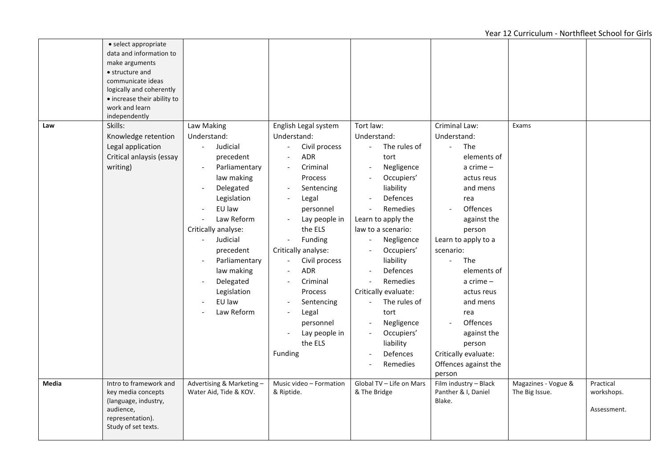|       | • select appropriate<br>data and information to<br>make arguments<br>• structure and<br>communicate ideas<br>logically and coherently<br>• increase their ability to |                            |                                                   |                                        |                                 |                     |             |
|-------|----------------------------------------------------------------------------------------------------------------------------------------------------------------------|----------------------------|---------------------------------------------------|----------------------------------------|---------------------------------|---------------------|-------------|
|       | work and learn<br>independently                                                                                                                                      |                            |                                                   |                                        |                                 |                     |             |
| Law   | Skills:                                                                                                                                                              | Law Making                 | English Legal system                              | Tort law:                              | Criminal Law:                   | Exams               |             |
|       | Knowledge retention                                                                                                                                                  | Understand:                | Understand:                                       | Understand:                            | Understand:                     |                     |             |
|       | Legal application                                                                                                                                                    | Judicial<br>$\blacksquare$ | Civil process                                     | The rules of                           | The<br>$\overline{\phantom{a}}$ |                     |             |
|       | Critical anlaysis (essay                                                                                                                                             | precedent                  | ADR                                               | tort                                   | elements of                     |                     |             |
|       | writing)                                                                                                                                                             | Parliamentary              | Criminal                                          | Negligence<br>$\overline{\phantom{a}}$ | a crime $-$                     |                     |             |
|       |                                                                                                                                                                      | law making<br>Delegated    | Process<br>Sentencing<br>$\overline{\phantom{a}}$ | Occupiers'<br>liability                | actus reus<br>and mens          |                     |             |
|       |                                                                                                                                                                      | Legislation                | Legal<br>$\overline{\phantom{a}}$                 | Defences                               | rea                             |                     |             |
|       |                                                                                                                                                                      | EU law                     | personnel                                         | Remedies                               | Offences                        |                     |             |
|       |                                                                                                                                                                      | Law Reform                 | Lay people in                                     | Learn to apply the                     | against the                     |                     |             |
|       |                                                                                                                                                                      | Critically analyse:        | the ELS                                           | law to a scenario:                     | person                          |                     |             |
|       |                                                                                                                                                                      | Judicial<br>$\sim$         | Funding                                           | Negligence<br>$\blacksquare$           | Learn to apply to a             |                     |             |
|       |                                                                                                                                                                      | precedent                  | Critically analyse:                               | Occupiers'<br>$\sim$                   | scenario:                       |                     |             |
|       |                                                                                                                                                                      | Parliamentary              | Civil process<br>$\blacksquare$                   | liability                              | The<br>$\equiv$                 |                     |             |
|       |                                                                                                                                                                      | law making                 | <b>ADR</b>                                        | Defences<br>$\overline{\phantom{a}}$   | elements of                     |                     |             |
|       |                                                                                                                                                                      | Delegated                  | Criminal<br>$\overline{\phantom{a}}$              | Remedies<br>$\sim$                     | $a$ crime $-$                   |                     |             |
|       |                                                                                                                                                                      | Legislation                | Process                                           | Critically evaluate:                   | actus reus                      |                     |             |
|       |                                                                                                                                                                      | EU law                     | Sentencing<br>$\overline{\phantom{0}}$            | The rules of<br>$\Box$                 | and mens                        |                     |             |
|       |                                                                                                                                                                      | Law Reform                 | Legal<br>$\overline{\phantom{a}}$                 | tort                                   | rea                             |                     |             |
|       |                                                                                                                                                                      |                            | personnel                                         | Negligence<br>$\overline{\phantom{a}}$ | Offences<br>$\blacksquare$      |                     |             |
|       |                                                                                                                                                                      |                            | Lay people in<br>$\overline{\phantom{0}}$         | Occupiers'<br>$\overline{\phantom{a}}$ | against the                     |                     |             |
|       |                                                                                                                                                                      |                            | the ELS                                           | liability                              | person                          |                     |             |
|       |                                                                                                                                                                      |                            | Funding                                           | Defences<br>$\overline{\phantom{a}}$   | Critically evaluate:            |                     |             |
|       |                                                                                                                                                                      |                            |                                                   | Remedies                               | Offences against the<br>person  |                     |             |
| Media | Intro to framework and                                                                                                                                               | Advertising & Marketing-   | Music video - Formation                           | Global TV - Life on Mars               | Film industry - Black           | Magazines - Vogue & | Practical   |
|       | key media concepts                                                                                                                                                   | Water Aid, Tide & KOV.     | & Riptide.                                        | & The Bridge                           | Panther & I, Daniel             | The Big Issue.      | workshops.  |
|       | (language, industry,<br>audience,<br>representation).                                                                                                                |                            |                                                   |                                        | Blake.                          |                     | Assessment. |
|       | Study of set texts.                                                                                                                                                  |                            |                                                   |                                        |                                 |                     |             |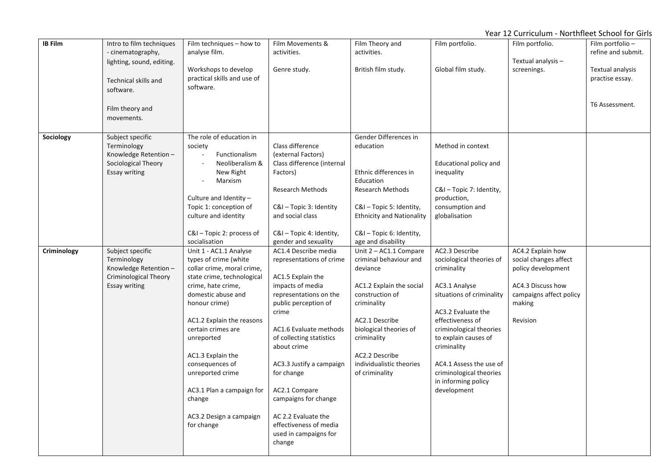| <b>IB Film</b> | Intro to film techniques<br>- cinematography,<br>lighting, sound, editing.                               | Film techniques - how to<br>analyse film.                                                                                                                                                                                                                                                                                                                                             | Film Movements &<br>activities.                                                                                                                                                                                                                                                                                                                                                                  | Film Theory and<br>activities.                                                                                                                                                                                                                        | Film portfolio.                                                                                                                                                                                                                                                                                                 | Film portfolio.<br>Textual analysis -                                                                                                  | Film portfolio-<br>refine and submit. |
|----------------|----------------------------------------------------------------------------------------------------------|---------------------------------------------------------------------------------------------------------------------------------------------------------------------------------------------------------------------------------------------------------------------------------------------------------------------------------------------------------------------------------------|--------------------------------------------------------------------------------------------------------------------------------------------------------------------------------------------------------------------------------------------------------------------------------------------------------------------------------------------------------------------------------------------------|-------------------------------------------------------------------------------------------------------------------------------------------------------------------------------------------------------------------------------------------------------|-----------------------------------------------------------------------------------------------------------------------------------------------------------------------------------------------------------------------------------------------------------------------------------------------------------------|----------------------------------------------------------------------------------------------------------------------------------------|---------------------------------------|
|                | Technical skills and<br>software.                                                                        | Workshops to develop<br>practical skills and use of<br>software.                                                                                                                                                                                                                                                                                                                      | Genre study.                                                                                                                                                                                                                                                                                                                                                                                     | British film study.                                                                                                                                                                                                                                   | Global film study.                                                                                                                                                                                                                                                                                              | screenings.                                                                                                                            | Textual analysis<br>practise essay.   |
|                | Film theory and<br>movements.                                                                            |                                                                                                                                                                                                                                                                                                                                                                                       |                                                                                                                                                                                                                                                                                                                                                                                                  |                                                                                                                                                                                                                                                       |                                                                                                                                                                                                                                                                                                                 |                                                                                                                                        | T6 Assessment.                        |
| Sociology      | Subject specific<br>Terminology<br>Knowledge Retention -<br>Sociological Theory<br>Essay writing         | The role of education in<br>society<br>Functionalism<br>Neoliberalism &<br>New Right<br>Marxism<br>Culture and Identity -<br>Topic 1: conception of<br>culture and identity<br>C&I - Topic 2: process of<br>socialisation                                                                                                                                                             | Class difference<br>(external Factors)<br>Class difference (internal<br>Factors)<br><b>Research Methods</b><br>C&I - Topic 3: Identity<br>and social class<br>C&I - Topic 4: Identity,<br>gender and sexuality                                                                                                                                                                                   | Gender Differences in<br>education<br>Ethnic differences in<br>Education<br><b>Research Methods</b><br>C&I - Topic 5: Identity,<br><b>Ethnicity and Nationality</b><br>C&I - Topic 6: Identity,<br>age and disability                                 | Method in context<br>Educational policy and<br>inequality<br>C&I - Topic 7: Identity,<br>production,<br>consumption and<br>globalisation                                                                                                                                                                        |                                                                                                                                        |                                       |
| Criminology    | Subject specific<br>Terminology<br>Knowledge Retention-<br><b>Criminological Theory</b><br>Essay writing | Unit 1 - AC1.1 Analyse<br>types of crime (white<br>collar crime, moral crime,<br>state crime, technological<br>crime, hate crime,<br>domestic abuse and<br>honour crime)<br>AC1.2 Explain the reasons<br>certain crimes are<br>unreported<br>AC1.3 Explain the<br>consequences of<br>unreported crime<br>AC3.1 Plan a campaign for<br>change<br>AC3.2 Design a campaign<br>for change | AC1.4 Describe media<br>representations of crime<br>AC1.5 Explain the<br>impacts of media<br>representations on the<br>public perception of<br>crime<br>AC1.6 Evaluate methods<br>of collecting statistics<br>about crime<br>AC3.3 Justify a campaign<br>for change<br>AC2.1 Compare<br>campaigns for change<br>AC 2.2 Evaluate the<br>effectiveness of media<br>used in campaigns for<br>change | Unit 2 - AC1.1 Compare<br>criminal behaviour and<br>deviance<br>AC1.2 Explain the social<br>construction of<br>criminality<br>AC2.1 Describe<br>biological theories of<br>criminality<br>AC2.2 Describe<br>individualistic theories<br>of criminality | AC2.3 Describe<br>sociological theories of<br>criminality<br>AC3.1 Analyse<br>situations of criminality<br>AC3.2 Evaluate the<br>effectiveness of<br>criminological theories<br>to explain causes of<br>criminality<br>AC4.1 Assess the use of<br>criminological theories<br>in informing policy<br>development | AC4.2 Explain how<br>social changes affect<br>policy development<br>AC4.3 Discuss how<br>campaigns affect policy<br>making<br>Revision |                                       |